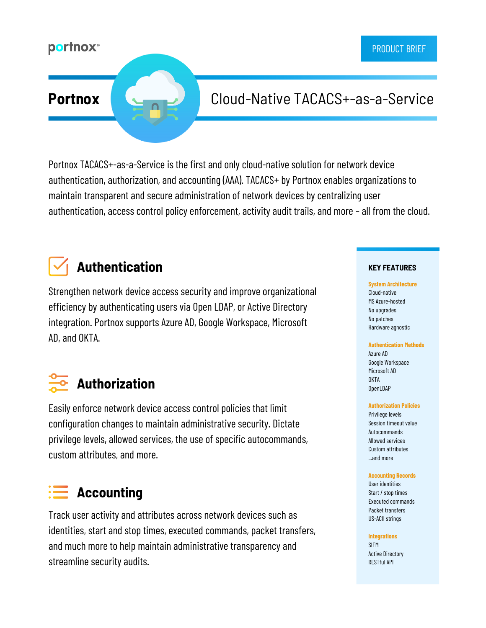### **portnox**™

## **Portnox** Cloud-Native TACACS+-as-a-Service

Portnox TACACS+-as-a-Service is the first and only cloud-native solution for network device authentication, authorization, and accounting (AAA). TACACS+ by Portnox enables organizations to maintain transparent and secure administration of network devices by centralizing user authentication, access control policy enforcement, activity audit trails, and more – all from the cloud.

# **Authentication**

Strengthen network device access security and improve organizational efficiency by authenticating users via Open LDAP, or Active Directory integration. Portnox supports Azure AD, Google Workspace, Microsoft AD, and OKTA.

# **Authorization**

Easily enforce network device access control policies that limit configuration changes to maintain administrative security. Dictate privilege levels, allowed services, the use of specific autocommands, custom attributes, and more.

## **Accounting**

Track user activity and attributes across network devices such as identities, start and stop times, executed commands, packet transfers, and much more to help maintain administrative transparency and streamline security audits.

#### **KEY FEATURES**

**System Architecture** Cloud-native MS Azure-hosted No upgrades No patches Hardware agnostic

#### **Authentication Methods**

Azure AD Google Workspace Microsoft AD **NKTA** OpenLDAP

#### **Authorization Policies**

Privilege levels Session timeout value Autocommands Allowed services Custom attributes ...and more

#### **Accounting Records**

User identities Start / stop times Executed commands Packet transfers US-ACII strings

**Integrations**

SIEM Active Directory RESTful API